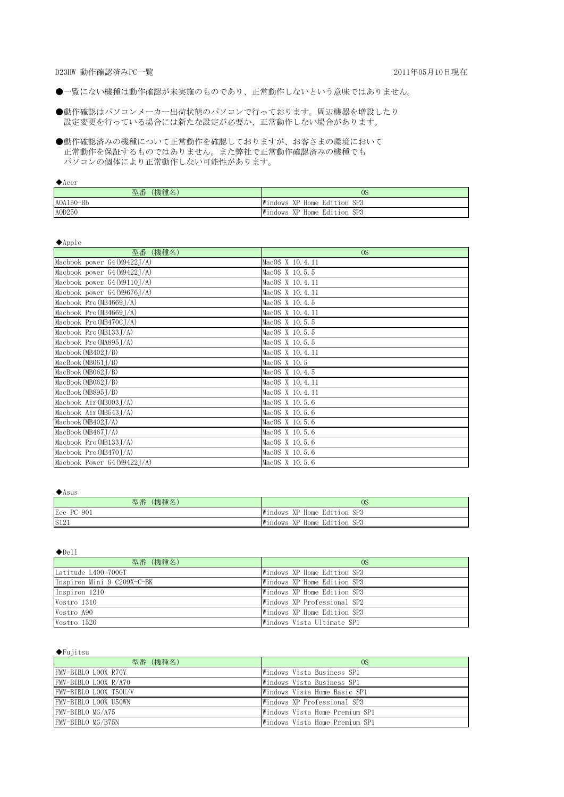D23HW 動作確認済みPC一覧 2011年05月10日現在

- ●一覧にない機種は動作確認が未実施のものであり、正常動作しないという意味ではありません。
- 設定変更を行っている場合には新たな設定が必要か、正常動作しない場合があります。 ●動作確認はパソコンメーカー出荷状態のパソコンで行っております。周辺機器を増設したり
- 正常動作を保証するものではありません。また弊社で正常動作確認済みの機種でも パソコンの個体により正常動作しない可能性があります。 ●動作確認済みの機種について正常動作を確認しておりますが、お客さまの環境において

◆Acer

| (機種名)<br>型番 | 0S                             |
|-------------|--------------------------------|
| $AOA150-Bb$ | Windows<br>XP Home Edition SP3 |
| A0D250      | Windows<br>XP Home Edition SP3 |

◆Apple

| .<br>型番 (機種名)                | 0 <sub>S</sub>  |
|------------------------------|-----------------|
| Macbook power $G4(M9422J/A)$ | MacOS X 10.4.11 |
| Macbook power G4 (M9422J/A)  | MacOS X 10.5.5  |
| Macbook power $G4(M9110J/A)$ | MacOS X 10.4.11 |
| Macbook power G4 (M9676J/A)  | MacOS X 10.4.11 |
| Macbook Pro (MB4669J/A)      | MacOS X 10.4.5  |
| Macbook Pro (MB4669J/A)      | MacOS X 10.4.11 |
| Macbook Pro (MB470CJ/A)      | MacOS X 10.5.5  |
| Macbook Pro (MB133J/A)       | MacOS X 10.5.5  |
| Macbook Pro (MA895J/A)       | MacOS X 10.5.5  |
| Macbook (MB402 $J/B$ )       | MacOS X 10.4.11 |
| MacBook(MB061J/B)            | MacOS X 10.5    |
| MacBook(MB062J/B)            | MacOS X 10.4.5  |
| MacBook(MB062J/B)            | MacOS X 10.4.11 |
| MacBook(MB895J/B)            | MacOS X 10.4.11 |
| Macbook Air (MB003J/A)       | MacOS X 10.5.6  |
| Macbook Air (MB543J/A)       | MacOS X 10.5.6  |
| Macbook (MB402 $J/A$ )       | MacOS X 10.5.6  |
| MacBook(MB467J/A)            | MacOS X 10.5.6  |
| Macbook Pro (MB133J/A)       | MacOS X 10.5.6  |
| Macbook Pro (MB470J/A)       | MacOS X 10.5.6  |
| Macbook Power G4 (M9422J/A)  | MacOS X 10.5.6  |

#### ◆Asus

| (機種名)<br>型番 | 0S                          |
|-------------|-----------------------------|
| Eee PC 901  | Windows XP Home Edition SP3 |
| S121        | Windows XP Home Edition SP3 |

◆Dell

| 型番 (機種名)                   | 0S                          |
|----------------------------|-----------------------------|
| Latitude L400-700GT        | Windows XP Home Edition SP3 |
| Inspiron Mini 9 C209X-C-BK | Windows XP Home Edition SP3 |
| Inspiron 1210              | Windows XP Home Edition SP3 |
| Vostro 1310                | Windows XP Professional SP2 |
| Vostro A90                 | Windows XP Home Edition SP3 |
| Vostro 1520                | Windows Vista Ultimate SP1  |

#### ◆Fujitsu

| 型番 (機種名)              | OS.                            |
|-----------------------|--------------------------------|
| FMV-BIBLO LOOX R70Y   | Windows Vista Business SP1     |
| FMV-BIBLO LOOX R/A70  | Windows Vista Business SP1     |
| FMV-BIBLO LOOX T50U/V | Windows Vista Home Basic SP1   |
| FMV-BIBLO LOOX U50WN  | Windows XP Professional SP3    |
| FMV-BIBLO MG/A75      | Windows Vista Home Premium SP1 |
| FMV-BIBLO MG/B75N     | Windows Vista Home Premium SP1 |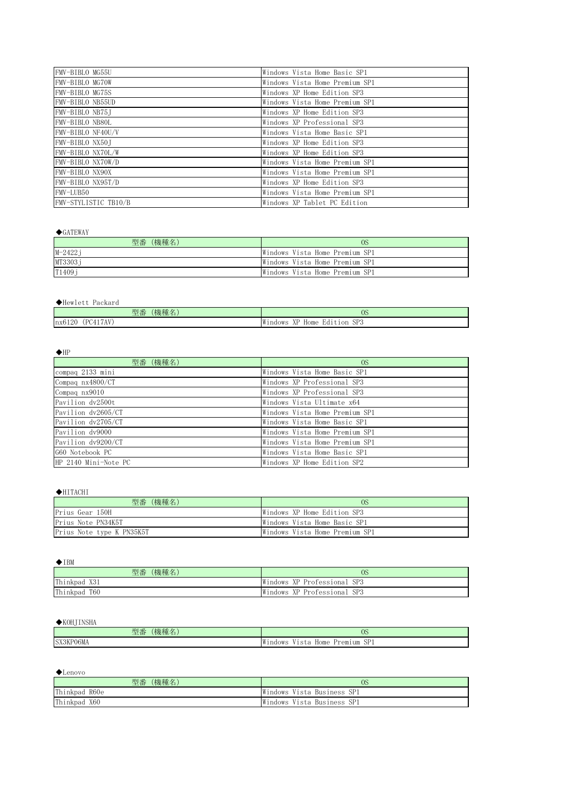| FMV-BIBLO MG55U      | Windows Vista Home Basic SP1   |
|----------------------|--------------------------------|
| FMV-BIBLO MG70W      | Windows Vista Home Premium SP1 |
| FMV-BIBLO MG75S      | Windows XP Home Edition SP3    |
| FMV-BIBLO NB55UD     | Windows Vista Home Premium SP1 |
| FMV-BIBLO NB75J      | Windows XP Home Edition SP3    |
| FMV-BIBLO NB80L      | Windows XP Professional SP3    |
| FMV-BIBLO NF40U/V    | Windows Vista Home Basic SP1   |
| FMV-BIBLO NX50J      | Windows XP Home Edition SP3    |
| FMV-BIBLO NX70L/W    | Windows XP Home Edition SP3    |
| FMV-BIBLO NX70W/D    | Windows Vista Home Premium SP1 |
| FMV-BIBLO NX90X      | Windows Vista Home Premium SP1 |
| FMV-BIBLO NX95T/D    | Windows XP Home Edition SP3    |
| FMV-LUB50            | Windows Vista Home Premium SP1 |
| FMV-STYLISTIC TB10/B | Windows XP Tablet PC Edition   |

## $\blacklozenge$ GATEWAY

| (機種名)<br>型番 | 0S                             |
|-------------|--------------------------------|
| $M - 2422j$ | Windows Vista Home Premium SP1 |
| MT3303j     | Windows Vista Home Premium SP1 |
| T1409j      | Windows Vista Home Premium SP1 |

#### ◆Hewlett Packard

| <b>STARK ROBERT</b><br>$\mathbf{L}$<br>型番<br>機種名 | $\sim$ $\sim$<br>OS                                            |
|--------------------------------------------------|----------------------------------------------------------------|
| .17AV<br>PCA1<br>nx6120<br>$\Delta$<br>.         | SP <sub>3</sub><br>⊣W⊺<br>Edition<br>ndows<br>Home<br>.<br>777 |

#### $\blacklozenge$ HP

| 型番 (機種名)             | <sub>OS</sub>                  |
|----------------------|--------------------------------|
| compaq 2133 mini     | Windows Vista Home Basic SP1   |
| Compaq nx4800/CT     | Windows XP Professional SP3    |
| Compaq nx9010        | Windows XP Professional SP3    |
| Pavilion dv2500t     | Windows Vista Ultimate x64     |
| Pavilion dv2605/CT   | Windows Vista Home Premium SP1 |
| Pavilion dv2705/CT   | Windows Vista Home Basic SP1   |
| Pavilion dy9000      | Windows Vista Home Premium SP1 |
| Pavilion dv9200/CT   | Windows Vista Home Premium SP1 |
| G60 Notebook PC      | Windows Vista Home Basic SP1   |
| HP 2140 Mini-Note PC | Windows XP Home Edition SP2    |

#### ◆HITACHI

| (機種名)<br>型番               | 0S                             |
|---------------------------|--------------------------------|
| Prius Gear 150H           | Windows XP Home Edition SP3    |
| Prius Note PN34K5T        | Windows Vista Home Basic SP1   |
| Prius Note type K PN35K5T | Windows Vista Home Premium SP1 |

◆IBM

| (機種名)<br>型番  | 0S                          |
|--------------|-----------------------------|
| Thinkpad X31 | Windows XP Professional SP3 |
| Thinkpad T60 | Windows XP Professional SP3 |

## ◆KOHJINSHA

| <b>CENTAL</b><br>型番<br>'機種名 | $\sim$<br>və                                                                                                                 |
|-----------------------------|------------------------------------------------------------------------------------------------------------------------------|
| SX3KP06MA<br>-UOMA          | $\alpha$ rn<br>.<br><b>STATE</b><br>ı w<br>Premium<br>OWS<br>Home<br>-ndc<br>- SP1<br>$\sim$ + $\prime$<br>5 L Z<br><b>.</b> |

◆Lenovo

| (機種名)<br>型番   | <sub>OS</sub>              |
|---------------|----------------------------|
| Thinkpad R60e | Windows Vista Business SP1 |
| Thinkpad X60  | Windows Vista Business SP1 |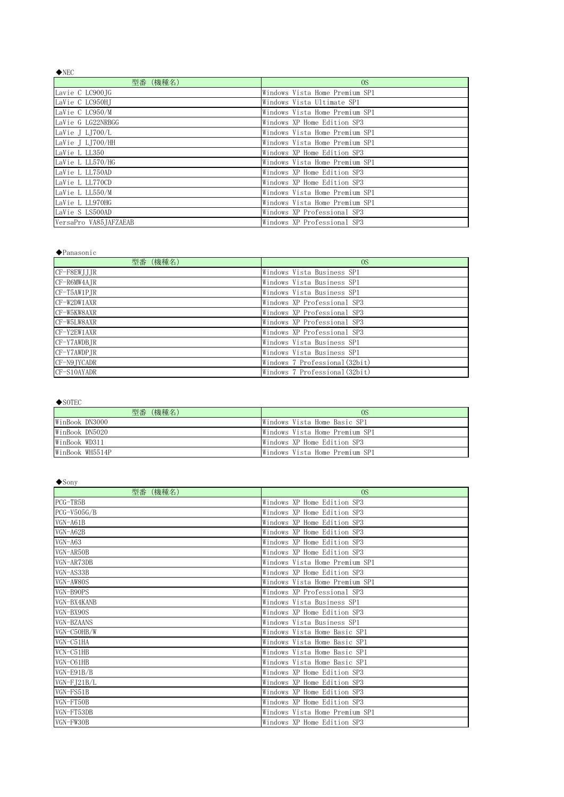| $\blacklozenge$ NEC   |                                |
|-----------------------|--------------------------------|
| 型番 (機種名)              | 0 <sub>S</sub>                 |
| Lavie C LC900JG       | Windows Vista Home Premium SP1 |
| LaVie C LC950HT       | Windows Vista Ultimate SP1     |
| LaVie C LC950/M       | Windows Vista Home Premium SP1 |
| LaVie G LG22NRBGG     | Windows XP Home Edition SP3    |
| LaVie J LJ700/L       | Windows Vista Home Premium SP1 |
| LaVie J LI700/HH      | Windows Vista Home Premium SP1 |
| LaVie L LL350         | Windows XP Home Edition SP3    |
| LaVie L LL570/HG      | Windows Vista Home Premium SP1 |
| LaVie L LL750AD       | Windows XP Home Edition SP3    |
| LaVie L LL770CD       | Windows XP Home Edition SP3    |
| LaVie L LL550/M       | Windows Vista Home Premium SP1 |
| LaVie L LL970HG       | Windows Vista Home Premium SP1 |
| LaVie S LS500AD       | Windows XP Professional SP3    |
| VersaPro VA85JAFZAEAB | Windows XP Professional SP3    |

#### ◆Panasonic

| 型番 (機種名)      | <sub>0</sub> S                 |
|---------------|--------------------------------|
| CF-F8EWJJJR   | Windows Vista Business SP1     |
| CF-R6MW4AJR   | Windows Vista Business SP1     |
| CF-T5AW1PJR   | Windows Vista Business SP1     |
| CF-W2DW1AXR   | Windows XP Professional SP3    |
| CF-W5KW8AXR   | Windows XP Professional SP3    |
| CF-W5LW8AXR   | Windows XP Professional SP3    |
| $CF-Y2EW1AXR$ | Windows XP Professional SP3    |
| CF-Y7AWDBJR   | Windows Vista Business SP1     |
| CF-Y7AWDPJR   | Windows Vista Business SP1     |
| CF-N9 TYCADR  | Windows 7 Professional (32bit) |
| CF-S10AYADR   | Windows 7 Professional (32bit) |

# ◆SOTEC

| (機種名)<br>型番     | 0S                             |
|-----------------|--------------------------------|
| WinBook DN3000  | Windows Vista Home Basic SP1   |
| WinBook DN5020  | Windows Vista Home Premium SP1 |
| WinBook WD311   | Windows XP Home Edition SP3    |
| WinBook WH5514P | Windows Vista Home Premium SP1 |

## ◆Sony

| 型番(機種名)       | OS                             |
|---------------|--------------------------------|
| PCG-TR5B      | Windows XP Home Edition SP3    |
| $PCG-V505G/B$ | Windows XP Home Edition SP3    |
| VGN-A61B      | Windows XP Home Edition SP3    |
| VGN-A62B      | Windows XP Home Edition SP3    |
| $VGN-A63$     | Windows XP Home Edition SP3    |
| VGN-AR50B     | Windows XP Home Edition SP3    |
| VGN-AR73DB    | Windows Vista Home Premium SP1 |
| VGN-AS33B     | Windows XP Home Edition SP3    |
| VGN-AW80S     | Windows Vista Home Premium SP1 |
| VGN-B90PS     | Windows XP Professional SP3    |
| VGN-BX4KANB   | Windows Vista Business SP1     |
| VGN-BX90S     | Windows XP Home Edition SP3    |
| VGN-BZAANS    | Windows Vista Business SP1     |
| VGN-C50HB/W   | Windows Vista Home Basic SP1   |
| VGN-C51HA     | Windows Vista Home Basic SP1   |
| $VCN-C51HB$   | Windows Vista Home Basic SP1   |
| VGN-C61HB     | Windows Vista Home Basic SP1   |
| $VGN-F91B/B$  | Windows XP Home Edition SP3    |
| $VGN-FJ21B/L$ | Windows XP Home Edition SP3    |
| $VGN-FS51B$   | Windows XP Home Edition SP3    |
| VGN-FT50B     | Windows XP Home Edition SP3    |
| VGN-FT53DB    | Windows Vista Home Premium SP1 |
| VGN-FW30B     | Windows XP Home Edition SP3    |